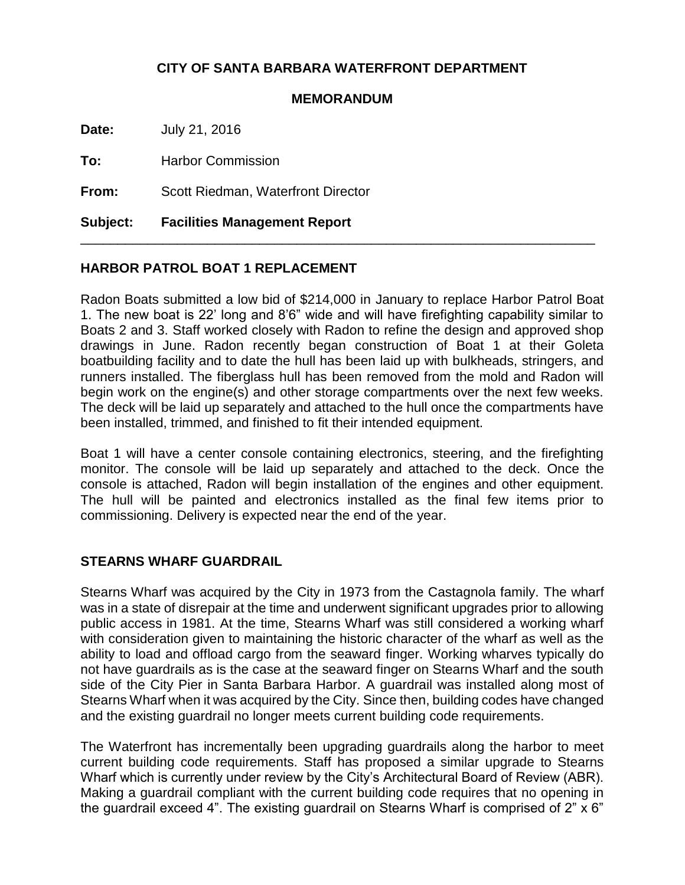## **CITY OF SANTA BARBARA WATERFRONT DEPARTMENT**

## **MEMORANDUM**

**Date:** July 21, 2016

**To:** Harbor Commission

**From:** Scott Riedman, Waterfront Director

**Subject: Facilities Management Report**

## **HARBOR PATROL BOAT 1 REPLACEMENT**

Radon Boats submitted a low bid of \$214,000 in January to replace Harbor Patrol Boat 1. The new boat is 22' long and 8'6" wide and will have firefighting capability similar to Boats 2 and 3. Staff worked closely with Radon to refine the design and approved shop drawings in June. Radon recently began construction of Boat 1 at their Goleta boatbuilding facility and to date the hull has been laid up with bulkheads, stringers, and runners installed. The fiberglass hull has been removed from the mold and Radon will begin work on the engine(s) and other storage compartments over the next few weeks. The deck will be laid up separately and attached to the hull once the compartments have been installed, trimmed, and finished to fit their intended equipment.

\_\_\_\_\_\_\_\_\_\_\_\_\_\_\_\_\_\_\_\_\_\_\_\_\_\_\_\_\_\_\_\_\_\_\_\_\_\_\_\_\_\_\_\_\_\_\_\_\_\_\_\_\_\_\_\_\_\_\_\_\_\_\_\_\_\_\_\_\_

Boat 1 will have a center console containing electronics, steering, and the firefighting monitor. The console will be laid up separately and attached to the deck. Once the console is attached, Radon will begin installation of the engines and other equipment. The hull will be painted and electronics installed as the final few items prior to commissioning. Delivery is expected near the end of the year.

## **STEARNS WHARF GUARDRAIL**

Stearns Wharf was acquired by the City in 1973 from the Castagnola family. The wharf was in a state of disrepair at the time and underwent significant upgrades prior to allowing public access in 1981. At the time, Stearns Wharf was still considered a working wharf with consideration given to maintaining the historic character of the wharf as well as the ability to load and offload cargo from the seaward finger. Working wharves typically do not have guardrails as is the case at the seaward finger on Stearns Wharf and the south side of the City Pier in Santa Barbara Harbor. A guardrail was installed along most of Stearns Wharf when it was acquired by the City. Since then, building codes have changed and the existing guardrail no longer meets current building code requirements.

The Waterfront has incrementally been upgrading guardrails along the harbor to meet current building code requirements. Staff has proposed a similar upgrade to Stearns Wharf which is currently under review by the City's Architectural Board of Review (ABR). Making a guardrail compliant with the current building code requires that no opening in the guardrail exceed 4". The existing guardrail on Stearns Wharf is comprised of 2" x 6"